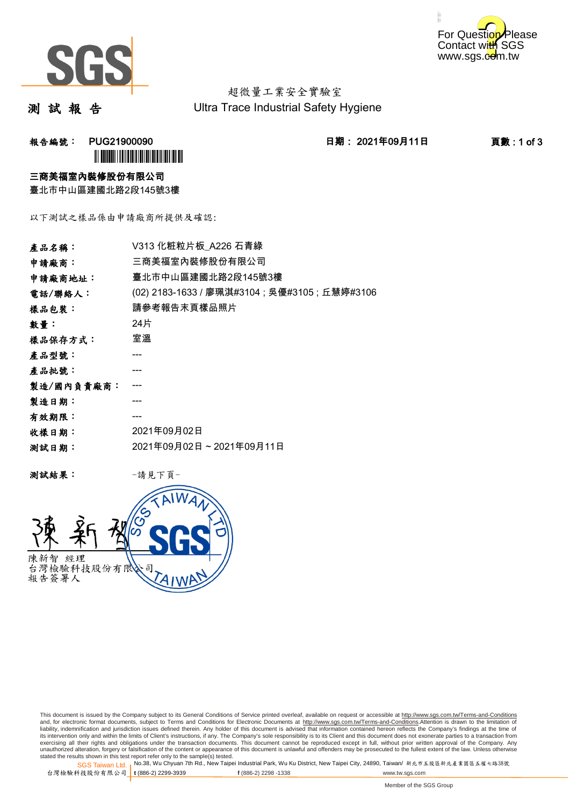



超微量工業安全實驗室 Ultra Trace Industrial Safety Hygiene

測 試 報 告

报告編號: PUG21900090 20 20 21年09月11日 2021年09月11日 2021年09月11日 夏數 : 1 of 3 **ÌN DIATH NA BAILEAN A** 

#### 三商美福室內裝修股份有限公司

臺北市中山區建國北路2段145號3樓

以下測試之樣品係由申請廠商所提供及確認:

| V313 化粧粒片板 A226 石青綠                            |
|------------------------------------------------|
| 三商美福室內裝修股份有限公司                                 |
| 臺北市中山區建國北路2段145號3樓                             |
| (02) 2183-1633 / 廖珮淇#3104 ; 吳優#3105 ; 丘慧婷#3106 |
| 請參考報告末頁樣品照片                                    |
| 24片                                            |
| 室溫                                             |
|                                                |
|                                                |
|                                                |
|                                                |
|                                                |
| 2021年09月02日                                    |
| 2021年09月02日~2021年09月11日                        |
|                                                |

測試結果: -請見下頁-



This document is issued by the Company subject to its General Conditions of Service printed overleaf, available on request or accessible at http://www.sgs.com.tw/Terms-and-Conditions and, for electronic format documents, subject to Terms and Conditions for Electronic Documents at <u>http://www.sgs.com.tw/Terms-and-Conditions</u>.Attention is drawn to the limitation of<br>liability, indemnification and jurisdic exercising all their rights and obligations under the transaction documents. This document cannot be reproduced except in full, without prior written approval of the Company. Any<br>unauthorized alteration, forgery or falsifi stated the results shown in this test report refer only to the sample(s) tested.<br>Stated the results shown in this test report refer only to the sample(s) tested.

SGS Taiwan Ltd. 1

台灣檢驗科技股份有限公司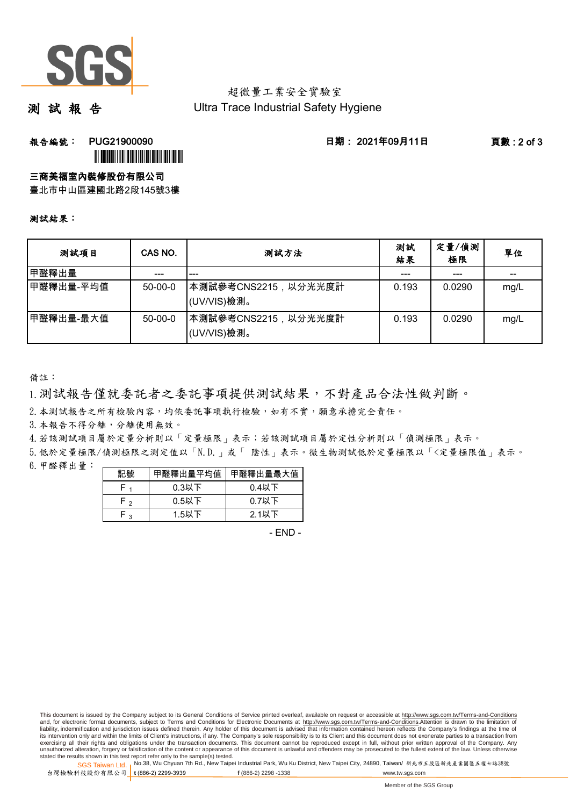

#### 超微量工業安全實驗室 Ultra Trace Industrial Safety Hygiene

測 試 報 告

報告編號: PUG21900090 日期: 2021年09月11日 頁數 : 2 of 3

# **ÌN DIATH NA BAILEAN A**

#### 三商美福室內裝修股份有限公司

臺北市中山區建國北路2段145號3樓

#### 測試結果:

| 测試項目      | CAS NO.   | 测試方法                                | 測試<br>結果 | 定量/偵測<br>極限 | 單位   |
|-----------|-----------|-------------------------------------|----------|-------------|------|
| 甲醛釋出量     |           |                                     | ---      | ---         | --   |
| 甲醛釋出量-平均值 | $50-00-0$ | ┃本測試參考CNS2215,以分光光度計<br>(UV/VIS)檢測。 | 0.193    | 0.0290      | mg/L |
| 甲醛釋出量-最大值 | $50-00-0$ | ┃本測試參考CNS2215,以分光光度計<br>(UV/VIS)檢測。 | 0.193    | 0.0290      | mg/L |

備註:

1.測試報告僅就委託者之委託事項提供測試結果,不對產品合法性做判斷。

- 2. 本測試報告之所有檢驗內容,均依委託事項執行檢驗,如有不實,願意承擔完全責任。
- 3.本報告不得分離,分離使用無效。
- 4.若該測試項目屬於定量分析則以「定量極限」表示;若該測試項目屬於定性分析則以「偵測極限」表示。

6.甲醛釋出量: 5.低於定量極限/偵測極限之測定值以「N.D.」或「 陰性」表示。微生物測試低於定量極限以「<定量極限值」表示。

| 記號  | 甲醛釋出量平均值 | 甲醛釋出量最大值 |
|-----|----------|----------|
|     | $0.3$ 以下 | $0.4$ 以下 |
| Fэ  | $0.5$ 以下 | $0.7$ 以下 |
| - ہ | $1.5$ 以下 | 2.1以下    |

 $-$  FND  $-$ 

SGS Taiwan Ltd. 1 stated the results shown in this test report refer only to the sample(s) tested.<br>Stated the results shown in this test report refer only to the sample(s) tested.

台灣檢驗科技股份有限公司

**t** (886-2) 2299-3939 **f** (886-2) 2298 -1338 www.tw.sgs.com

This document is issued by the Company subject to its General Conditions of Service printed overleaf, available on request or accessible at http://www.sgs.com.tw/Terms-and-Conditions and, for electronic format documents, subject to Terms and Conditions for Electronic Documents at http://www.sgs.com.tw/Terms-and-Conditions.Attention is drawn to the limitation of liability, indemnification and jurisdiction issues defined therein. Any holder of this document is advised that information contained hereon reflects the Company's findings at the time of<br>its intervention only and within t exercising all their rights and obligations under the transaction documents. This document cannot be reproduced except in full, without prior written approval of the Company. Any<br>unauthorized alteration, forgery or falsifi